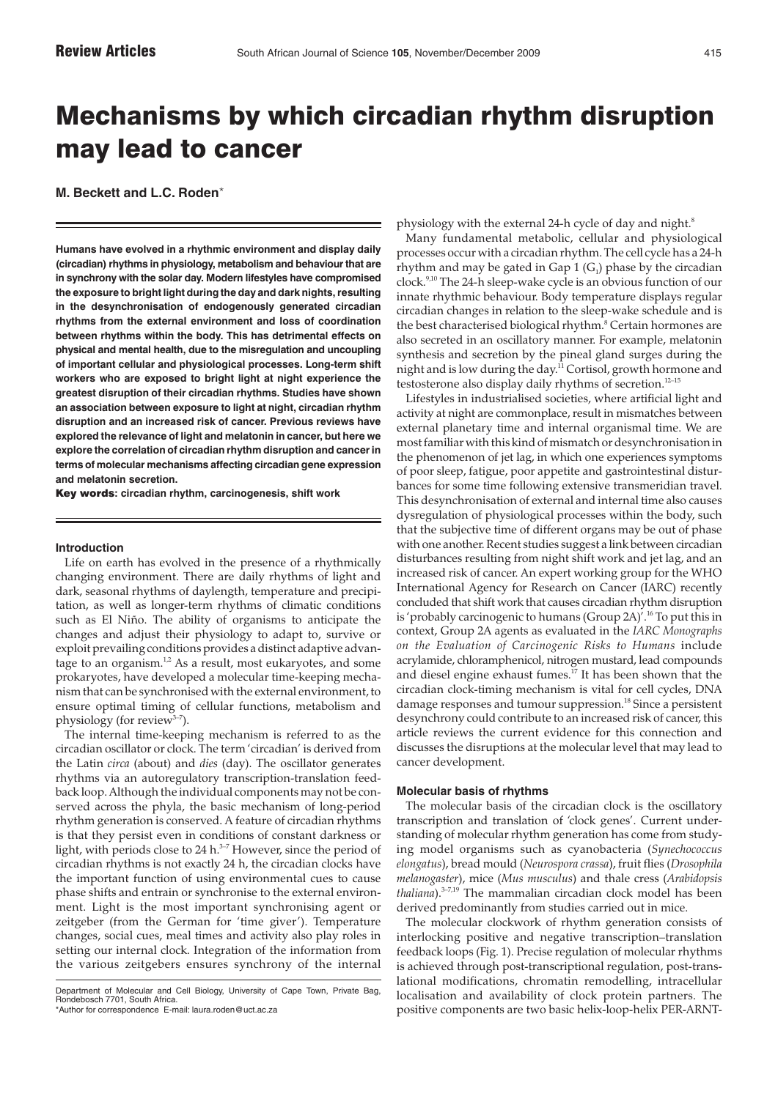# Mechanisms by which circadian rhythm disruption may lead to cancer

**M. Beckett and L.C. Roden**\*

**Humans have evolved in a rhythmic environment and display daily (circadian) rhythms in physiology, metabolism and behaviour that are in synchrony with the solar day. Modern lifestyles have compromised the exposure to bright light during the day and dark nights, resulting in the desynchronisation of endogenously generated circadian rhythms from the external environment and loss of coordination between rhythms within the body. This has detrimental effects on physical and mental health, due to the misregulation and uncoupling of important cellular and physiological processes. Long-term shift workers who are exposed to bright light at night experience the greatest disruption of their circadian rhythms. Studies have shown an association between exposure to light at night, circadian rhythm disruption and an increased risk of cancer. Previous reviews have explored the relevance of light and melatonin in cancer, but here we explore the correlation of circadian rhythm disruption and cancer in terms of molecular mechanisms affecting circadian gene expression and melatonin secretion.**

Key words**: circadian rhythm, carcinogenesis, shift work**

#### **Introduction**

Life on earth has evolved in the presence of a rhythmically changing environment. There are daily rhythms of light and dark, seasonal rhythms of daylength, temperature and precipitation, as well as longer-term rhythms of climatic conditions such as El Niño. The ability of organisms to anticipate the changes and adjust their physiology to adapt to, survive or exploit prevailing conditions provides a distinct adaptive advantage to an organism.<sup>1,2</sup> As a result, most eukaryotes, and some prokaryotes, have developed a molecular time-keeping mechanism that can be synchronised with the external environment, to ensure optimal timing of cellular functions, metabolism and physiology (for review<sup>3-7</sup>).

The internal time-keeping mechanism is referred to as the circadian oscillator or clock. The term 'circadian' is derived from the Latin *circa* (about) and *dies* (day). The oscillator generates rhythms via an autoregulatory transcription-translation feedback loop. Although the individual components may not be conserved across the phyla, the basic mechanism of long-period rhythm generation is conserved. A feature of circadian rhythms is that they persist even in conditions of constant darkness or light, with periods close to 24 h.<sup>3-7</sup> However, since the period of circadian rhythms is not exactly 24 h, the circadian clocks have the important function of using environmental cues to cause phase shifts and entrain or synchronise to the external environment. Light is the most important synchronising agent or zeitgeber (from the German for 'time giver'). Temperature changes, social cues, meal times and activity also play roles in setting our internal clock. Integration of the information from the various zeitgebers ensures synchrony of the internal

\*Author for correspondence E-mail: laura.roden@uct.ac.za

physiology with the external 24-h cycle of day and night.<sup>8</sup>

Many fundamental metabolic, cellular and physiological processes occur with a circadian rhythm. The cell cycle has a 24-h rhythm and may be gated in Gap  $1(G_1)$  phase by the circadian clock.9,10 The 24-h sleep-wake cycle is an obvious function of our innate rhythmic behaviour. Body temperature displays regular circadian changes in relation to the sleep-wake schedule and is the best characterised biological rhythm.<sup>8</sup> Certain hormones are also secreted in an oscillatory manner. For example, melatonin synthesis and secretion by the pineal gland surges during the night and is low during the day.11 Cortisol, growth hormone and testosterone also display daily rhythms of secretion.<sup>12-15</sup>

Lifestyles in industrialised societies, where artificial light and activity at night are commonplace, result in mismatches between external planetary time and internal organismal time. We are most familiar with this kind of mismatch or desynchronisation in the phenomenon of jet lag, in which one experiences symptoms of poor sleep, fatigue, poor appetite and gastrointestinal disturbances for some time following extensive transmeridian travel. This desynchronisation of external and internal time also causes dysregulation of physiological processes within the body, such that the subjective time of different organs may be out of phase with one another. Recent studies suggest a link between circadian disturbances resulting from night shift work and jet lag, and an increased risk of cancer. An expert working group for the WHO International Agency for Research on Cancer (IARC) recently concluded that shift work that causes circadian rhythm disruption is 'probably carcinogenic to humans (Group 2A)'.16 To put this in context, Group 2A agents as evaluated in the *IARC Monographs on the Evaluation of Carcinogenic Risks to Humans* include acrylamide, chloramphenicol, nitrogen mustard, lead compounds and diesel engine exhaust fumes.17 It has been shown that the circadian clock-timing mechanism is vital for cell cycles, DNA damage responses and tumour suppression.<sup>18</sup> Since a persistent desynchrony could contribute to an increased risk of cancer, this article reviews the current evidence for this connection and discusses the disruptions at the molecular level that may lead to cancer development.

# **Molecular basis of rhythms**

The molecular basis of the circadian clock is the oscillatory transcription and translation of 'clock genes'. Current understanding of molecular rhythm generation has come from studying model organisms such as cyanobacteria (*Synechococcus elongatus*), bread mould (*Neurospora crassa*), fruit flies (*Drosophila melanogaster*), mice (*Mus musculus*) and thale cress (*Arabidopsis thaliana*).3–7,19 The mammalian circadian clock model has been derived predominantly from studies carried out in mice.

The molecular clockwork of rhythm generation consists of interlocking positive and negative transcription–translation feedback loops (Fig. 1). Precise regulation of molecular rhythms is achieved through post-transcriptional regulation, post-translational modifications, chromatin remodelling, intracellular localisation and availability of clock protein partners. The positive components are two basic helix-loop-helix PER-ARNT-

Department of Molecular and Cell Biology, University of Cape Town, Private Bag, Rondebosch 7701, South Africa.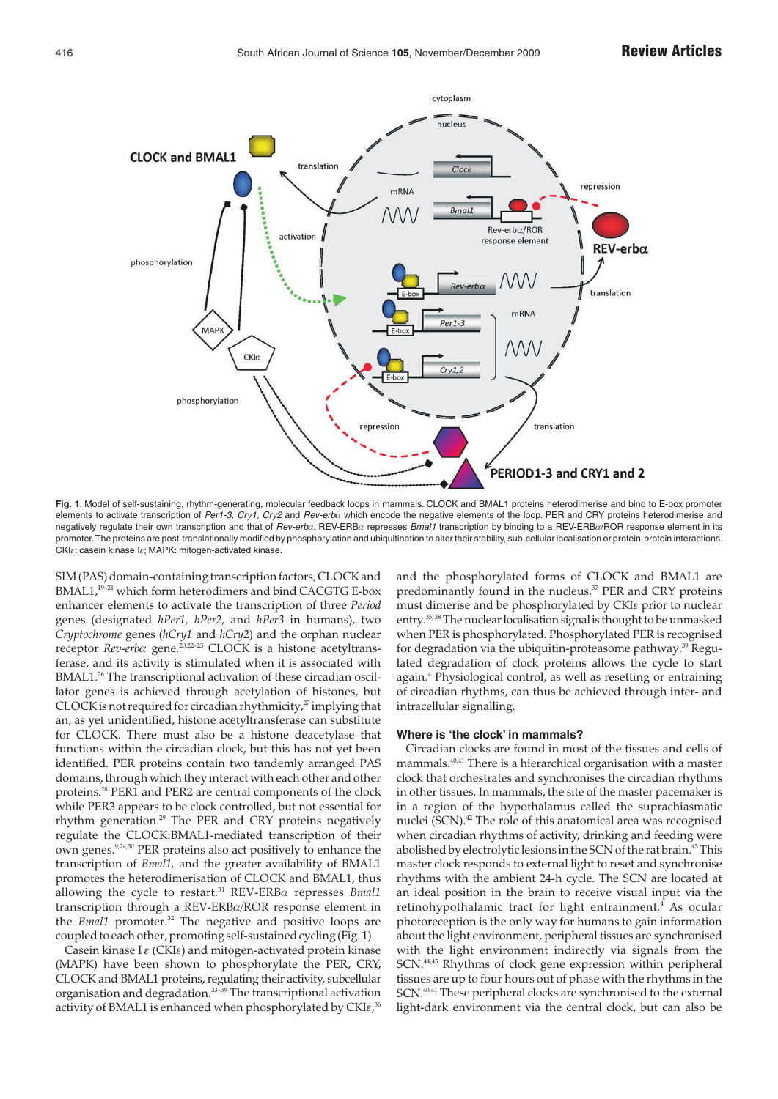

**Fig. 1**. Model of self-sustaining, rhythm-generating, molecular feedback loops in mammals. CLOCK and BMAL1 proteins heterodimerise and bind to E-box promoter elements to activate transcription of Per1-3, Cry1, Cry2 and Rev-erba which encode the negative elements of the loop. PER and CRY proteins heterodimerise and negatively regulate their own transcription and that of Rev-erbα. REV-ERBα represses Bmal1 transcription by binding to a REV-ERBα/ROR response element in its promoter.The proteins are post-translationally modified by phosphorylation and ubiquitination to alter their stability, sub-cellular localisation or protein-protein interactions. CKIε: casein kinase Iε; MAPK: mitogen-activated kinase.

SIM (PAS) domain-containing transcription factors, CLOCK and BMAL1,<sup>19-21</sup> which form heterodimers and bind CACGTG E-box enhancer elements to activate the transcription of three *Period* genes (designated *hPer1, hPer2,* and *hPer3* in humans), two *Cryptochrome* genes (*hCry1* and *hCry2*) and the orphan nuclear receptor *Rev-erbα* gene.<sup>20,22-25</sup> CLOCK is a histone acetyltransferase, and its activity is stimulated when it is associated with BMAL1.<sup>26</sup> The transcriptional activation of these circadian oscillator genes is achieved through acetylation of histones, but CLOCK is not required for circadian rhythmicity, $^{27}$  implying that an, as yet unidentified, histone acetyltransferase can substitute for CLOCK. There must also be a histone deacetylase that functions within the circadian clock, but this has not yet been identified. PER proteins contain two tandemly arranged PAS domains, through which they interact with each other and other proteins.28 PER1 and PER2 are central components of the clock while PER3 appears to be clock controlled, but not essential for rhythm generation.<sup>29</sup> The PER and CRY proteins negatively regulate the CLOCK:BMAL1-mediated transcription of their own genes.9,24,30 PER proteins also act positively to enhance the transcription of *Bmal1,* and the greater availability of BMAL1 promotes the heterodimerisation of CLOCK and BMAL1, thus allowing the cycle to restart.<sup>31</sup> REV-ERB $\alpha$  represses *Bmal1* transcription through a REV-ERBα/ROR response element in the *Bmal1* promoter.<sup>32</sup> The negative and positive loops are coupled to each other, promoting self-sustained cycling (Fig. 1).

Casein kinase I $\varepsilon$  (CKI $\varepsilon$ ) and mitogen-activated protein kinase (MAPK) have been shown to phosphorylate the PER, CRY, CLOCK and BMAL1 proteins, regulating their activity, subcellular organisation and degradation.33–39 The transcriptional activation activity of BMAL1 is enhanced when phosphorylated by CKI $\varepsilon,^{36}$ 

and the phosphorylated forms of CLOCK and BMAL1 are predominantly found in the nucleus.<sup>37</sup> PER and CRY proteins must dimerise and be phosphorylated by CKIε prior to nuclear entry.35, 38 The nuclear localisation signal is thought to be unmasked when PER is phosphorylated. Phosphorylated PER is recognised for degradation via the ubiquitin-proteasome pathway.<sup>39</sup> Regulated degradation of clock proteins allows the cycle to start again.4 Physiological control, as well as resetting or entraining of circadian rhythms, can thus be achieved through inter- and intracellular signalling.

## **Where is 'the clock' in mammals?**

Circadian clocks are found in most of the tissues and cells of mammals.40,41 There is a hierarchical organisation with a master clock that orchestrates and synchronises the circadian rhythms in other tissues. In mammals, the site of the master pacemaker is in a region of the hypothalamus called the suprachiasmatic nuclei (SCN).<sup>42</sup> The role of this anatomical area was recognised when circadian rhythms of activity, drinking and feeding were abolished by electrolytic lesions in the SCN of the rat brain.<sup>43</sup> This master clock responds to external light to reset and synchronise rhythms with the ambient 24-h cycle. The SCN are located at an ideal position in the brain to receive visual input via the retinohypothalamic tract for light entrainment.<sup>4</sup> As ocular photoreception is the only way for humans to gain information about the light environment, peripheral tissues are synchronised with the light environment indirectly via signals from the SCN.<sup>44,45</sup> Rhythms of clock gene expression within peripheral tissues are up to four hours out of phase with the rhythms in the SCN.<sup>40,41</sup> These peripheral clocks are synchronised to the external light-dark environment via the central clock, but can also be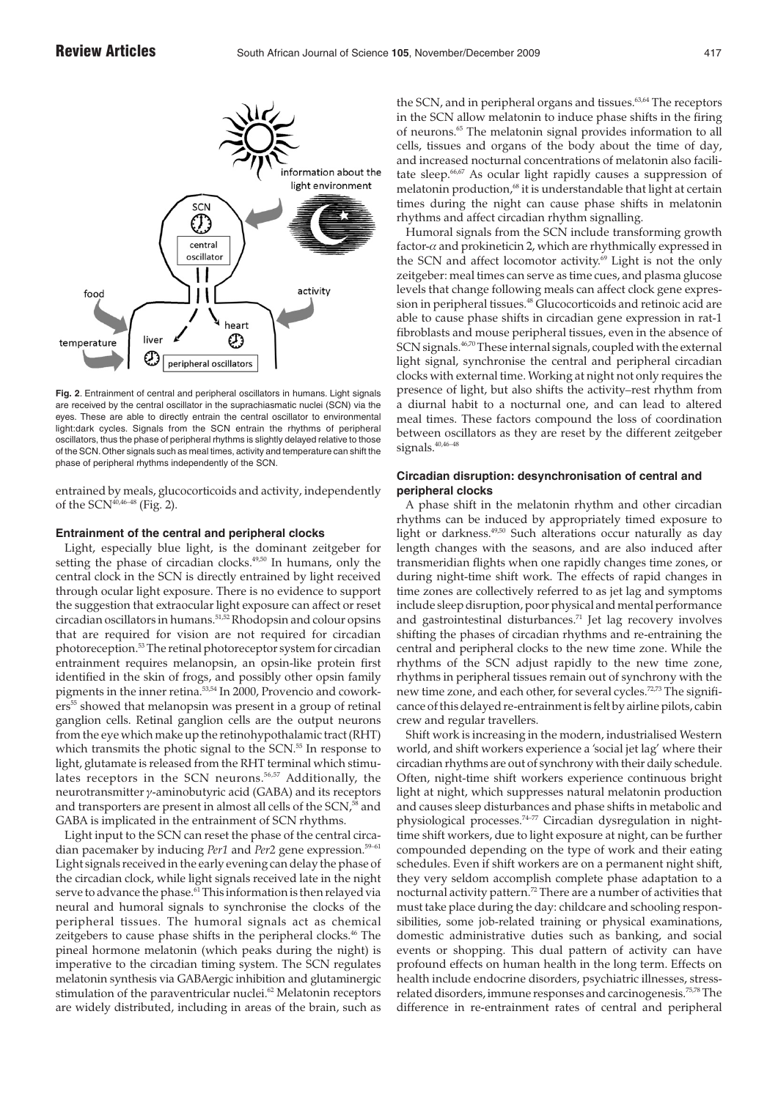



**Fig. 2**. Entrainment of central and peripheral oscillators in humans. Light signals are received by the central oscillator in the suprachiasmatic nuclei (SCN) via the eyes. These are able to directly entrain the central oscillator to environmental light:dark cycles. Signals from the SCN entrain the rhythms of peripheral oscillators, thus the phase of peripheral rhythms is slightly delayed relative to those of the SCN.Other signals such as meal times, activity and temperature can shift the phase of peripheral rhythms independently of the SCN.

entrained by meals, glucocorticoids and activity, independently of the SCN $^{40,46-48}$  (Fig. 2).

## **Entrainment of the central and peripheral clocks**

Light, especially blue light, is the dominant zeitgeber for setting the phase of circadian clocks.<sup>49,50</sup> In humans, only the central clock in the SCN is directly entrained by light received through ocular light exposure. There is no evidence to support the suggestion that extraocular light exposure can affect or reset circadian oscillators in humans.51,52 Rhodopsin and colour opsins that are required for vision are not required for circadian photoreception.53 The retinal photoreceptor system for circadian entrainment requires melanopsin, an opsin-like protein first identified in the skin of frogs, and possibly other opsin family pigments in the inner retina.53,54 In 2000, Provencio and coworkers<sup>55</sup> showed that melanopsin was present in a group of retinal ganglion cells. Retinal ganglion cells are the output neurons from the eye which make up the retinohypothalamic tract (RHT) which transmits the photic signal to the SCN.<sup>55</sup> In response to light, glutamate is released from the RHT terminal which stimulates receptors in the SCN neurons.56,57 Additionally, the neurotransmitter γ-aminobutyric acid (GABA) and its receptors and transporters are present in almost all cells of the SCN,<sup>58</sup> and GABA is implicated in the entrainment of SCN rhythms.

Light input to the SCN can reset the phase of the central circadian pacemaker by inducing *Per1* and *Per2* gene expression.<sup>59-61</sup> Light signals received in the early evening can delay the phase of the circadian clock, while light signals received late in the night serve to advance the phase.<sup>61</sup>This information is then relayed via neural and humoral signals to synchronise the clocks of the peripheral tissues. The humoral signals act as chemical zeitgebers to cause phase shifts in the peripheral clocks.<sup>46</sup> The pineal hormone melatonin (which peaks during the night) is imperative to the circadian timing system. The SCN regulates melatonin synthesis via GABAergic inhibition and glutaminergic stimulation of the paraventricular nuclei.<sup>62</sup> Melatonin receptors are widely distributed, including in areas of the brain, such as

the SCN, and in peripheral organs and tissues.<sup>63,64</sup> The receptors in the SCN allow melatonin to induce phase shifts in the firing of neurons.<sup>65</sup> The melatonin signal provides information to all cells, tissues and organs of the body about the time of day, and increased nocturnal concentrations of melatonin also facilitate sleep.66,67 As ocular light rapidly causes a suppression of melatonin production,<sup>68</sup> it is understandable that light at certain times during the night can cause phase shifts in melatonin rhythms and affect circadian rhythm signalling.

Humoral signals from the SCN include transforming growth factor- $\alpha$  and prokineticin 2, which are rhythmically expressed in the SCN and affect locomotor activity.<sup>69</sup> Light is not the only zeitgeber: meal times can serve as time cues, and plasma glucose levels that change following meals can affect clock gene expression in peripheral tissues.<sup>48</sup> Glucocorticoids and retinoic acid are able to cause phase shifts in circadian gene expression in rat-1 fibroblasts and mouse peripheral tissues, even in the absence of SCN signals.<sup>46,70</sup> These internal signals, coupled with the external light signal, synchronise the central and peripheral circadian clocks with external time. Working at night not only requires the presence of light, but also shifts the activity–rest rhythm from a diurnal habit to a nocturnal one, and can lead to altered meal times. These factors compound the loss of coordination between oscillators as they are reset by the different zeitgeber signals.<sup>40,46-48</sup>

# **Circadian disruption: desynchronisation of central and peripheral clocks**

A phase shift in the melatonin rhythm and other circadian rhythms can be induced by appropriately timed exposure to light or darkness.49,50 Such alterations occur naturally as day length changes with the seasons, and are also induced after transmeridian flights when one rapidly changes time zones, or during night-time shift work. The effects of rapid changes in time zones are collectively referred to as jet lag and symptoms include sleep disruption, poor physical and mental performance and gastrointestinal disturbances.<sup>71</sup> Jet lag recovery involves shifting the phases of circadian rhythms and re-entraining the central and peripheral clocks to the new time zone. While the rhythms of the SCN adjust rapidly to the new time zone, rhythms in peripheral tissues remain out of synchrony with the new time zone, and each other, for several cycles.<sup>72,73</sup> The significance of this delayed re-entrainment is felt by airline pilots, cabin crew and regular travellers.

Shift work is increasing in the modern, industrialised Western world, and shift workers experience a 'social jet lag' where their circadian rhythms are out of synchrony with their daily schedule. Often, night-time shift workers experience continuous bright light at night, which suppresses natural melatonin production and causes sleep disturbances and phase shifts in metabolic and physiological processes.74–77 Circadian dysregulation in nighttime shift workers, due to light exposure at night, can be further compounded depending on the type of work and their eating schedules. Even if shift workers are on a permanent night shift, they very seldom accomplish complete phase adaptation to a nocturnal activity pattern.72 There are a number of activities that must take place during the day: childcare and schooling responsibilities, some job-related training or physical examinations, domestic administrative duties such as banking, and social events or shopping. This dual pattern of activity can have profound effects on human health in the long term. Effects on health include endocrine disorders, psychiatric illnesses, stressrelated disorders, immune responses and carcinogenesis.75,78 The difference in re-entrainment rates of central and peripheral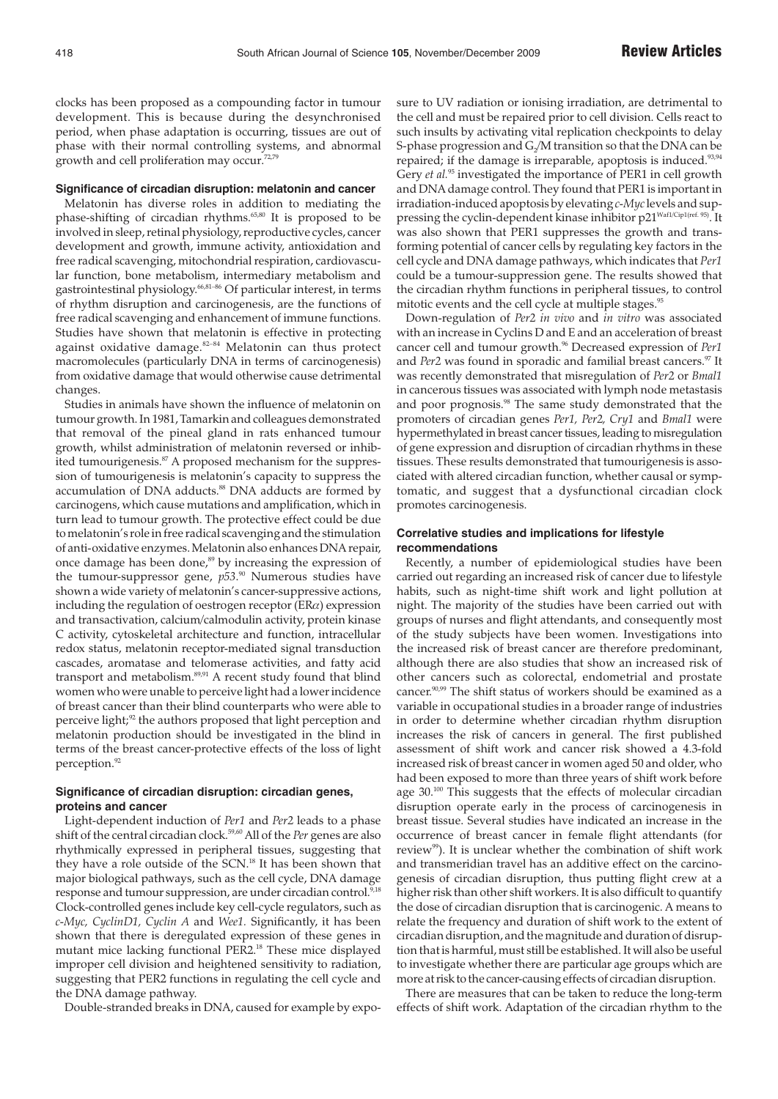clocks has been proposed as a compounding factor in tumour development. This is because during the desynchronised period, when phase adaptation is occurring, tissues are out of phase with their normal controlling systems, and abnormal growth and cell proliferation may occur.<sup>72,79</sup>

### **Significance of circadian disruption: melatonin and cancer**

Melatonin has diverse roles in addition to mediating the phase-shifting of circadian rhythms.<sup>65,80</sup> It is proposed to be involved in sleep, retinal physiology, reproductive cycles, cancer development and growth, immune activity, antioxidation and free radical scavenging, mitochondrial respiration, cardiovascular function, bone metabolism, intermediary metabolism and gastrointestinal physiology.66,81–86 Of particular interest, in terms of rhythm disruption and carcinogenesis, are the functions of free radical scavenging and enhancement of immune functions. Studies have shown that melatonin is effective in protecting against oxidative damage.<sup>82-84</sup> Melatonin can thus protect macromolecules (particularly DNA in terms of carcinogenesis) from oxidative damage that would otherwise cause detrimental changes.

Studies in animals have shown the influence of melatonin on tumour growth. In 1981, Tamarkin and colleagues demonstrated that removal of the pineal gland in rats enhanced tumour growth, whilst administration of melatonin reversed or inhibited tumourigenesis.<sup>87</sup> A proposed mechanism for the suppression of tumourigenesis is melatonin's capacity to suppress the accumulation of DNA adducts.<sup>88</sup> DNA adducts are formed by carcinogens, which cause mutations and amplification, which in turn lead to tumour growth. The protective effect could be due to melatonin's role in free radical scavenging and the stimulation of anti-oxidative enzymes. Melatonin also enhances DNA repair, once damage has been done,<sup>89</sup> by increasing the expression of the tumour-suppressor gene, *p53*. <sup>90</sup> Numerous studies have shown a wide variety of melatonin's cancer-suppressive actions, including the regulation of oestrogen receptor ( $ER\alpha$ ) expression and transactivation, calcium/calmodulin activity, protein kinase C activity, cytoskeletal architecture and function, intracellular redox status, melatonin receptor-mediated signal transduction cascades, aromatase and telomerase activities, and fatty acid transport and metabolism.<sup>89,91</sup> A recent study found that blind women who were unable to perceive light had a lower incidence of breast cancer than their blind counterparts who were able to perceive light;<sup>92</sup> the authors proposed that light perception and melatonin production should be investigated in the blind in terms of the breast cancer-protective effects of the loss of light perception.<sup>92</sup>

# **Significance of circadian disruption: circadian genes, proteins and cancer**

Light-dependent induction of *Per1* and *Per2* leads to a phase shift of the central circadian clock.59,60 All of the *Per* genes are also rhythmically expressed in peripheral tissues, suggesting that they have a role outside of the SCN.<sup>18</sup> It has been shown that major biological pathways, such as the cell cycle, DNA damage response and tumour suppression, are under circadian control.<sup>9,</sup> Clock-controlled genes include key cell-cycle regulators, such as *c-Myc, CyclinD1, Cyclin A* and *Wee1.* Significantly, it has been shown that there is deregulated expression of these genes in mutant mice lacking functional PER2.18 These mice displayed improper cell division and heightened sensitivity to radiation, suggesting that PER2 functions in regulating the cell cycle and the DNA damage pathway.

Double-stranded breaks in DNA, caused for example by expo-

sure to UV radiation or ionising irradiation, are detrimental to the cell and must be repaired prior to cell division. Cells react to such insults by activating vital replication checkpoints to delay S-phase progression and  $G_2/M$  transition so that the DNA can be repaired; if the damage is irreparable, apoptosis is induced. $93,94$ Gery *et al.*<sup>95</sup> investigated the importance of PER1 in cell growth and DNA damage control. They found that PER1 is important in irradiation-induced apoptosis by elevating *c-Myc*levels and suppressing the cyclin-dependent kinase inhibitor p21<sup>Waf1/Cip1(ref. 95)</sup>. It was also shown that PER1 suppresses the growth and transforming potential of cancer cells by regulating key factors in the cell cycle and DNA damage pathways, which indicates that *Per1* could be a tumour-suppression gene. The results showed that the circadian rhythm functions in peripheral tissues, to control mitotic events and the cell cycle at multiple stages.<sup>95</sup>

Down-regulation of *Per2 in vivo* and *in vitro* was associated with an increase in Cyclins D and E and an acceleration of breast cancer cell and tumour growth.<sup>96</sup> Decreased expression of *Per1* and *Per2* was found in sporadic and familial breast cancers.<sup>97</sup> It was recently demonstrated that misregulation of *Per2* or *Bmal1* in cancerous tissues was associated with lymph node metastasis and poor prognosis.<sup>98</sup> The same study demonstrated that the promoters of circadian genes *Per1, Per2, Cry1* and *Bmal1* were hypermethylated in breast cancer tissues, leading to misregulation of gene expression and disruption of circadian rhythms in these tissues. These results demonstrated that tumourigenesis is associated with altered circadian function, whether causal or symptomatic, and suggest that a dysfunctional circadian clock promotes carcinogenesis.

# **Correlative studies and implications for lifestyle recommendations**

Recently, a number of epidemiological studies have been carried out regarding an increased risk of cancer due to lifestyle habits, such as night-time shift work and light pollution at night. The majority of the studies have been carried out with groups of nurses and flight attendants, and consequently most of the study subjects have been women. Investigations into the increased risk of breast cancer are therefore predominant, although there are also studies that show an increased risk of other cancers such as colorectal, endometrial and prostate cancer.<sup>90,99</sup> The shift status of workers should be examined as a variable in occupational studies in a broader range of industries in order to determine whether circadian rhythm disruption increases the risk of cancers in general. The first published assessment of shift work and cancer risk showed a 4.3-fold increased risk of breast cancer in women aged 50 and older, who had been exposed to more than three years of shift work before age 30.<sup>100</sup> This suggests that the effects of molecular circadian disruption operate early in the process of carcinogenesis in breast tissue. Several studies have indicated an increase in the occurrence of breast cancer in female flight attendants (for review<sup>99</sup>). It is unclear whether the combination of shift work and transmeridian travel has an additive effect on the carcinogenesis of circadian disruption, thus putting flight crew at a higher risk than other shift workers. It is also difficult to quantify the dose of circadian disruption that is carcinogenic. A means to relate the frequency and duration of shift work to the extent of circadian disruption, and the magnitude and duration of disruption that is harmful, must still be established. It will also be useful to investigate whether there are particular age groups which are more at risk to the cancer-causing effects of circadian disruption.

There are measures that can be taken to reduce the long-term effects of shift work. Adaptation of the circadian rhythm to the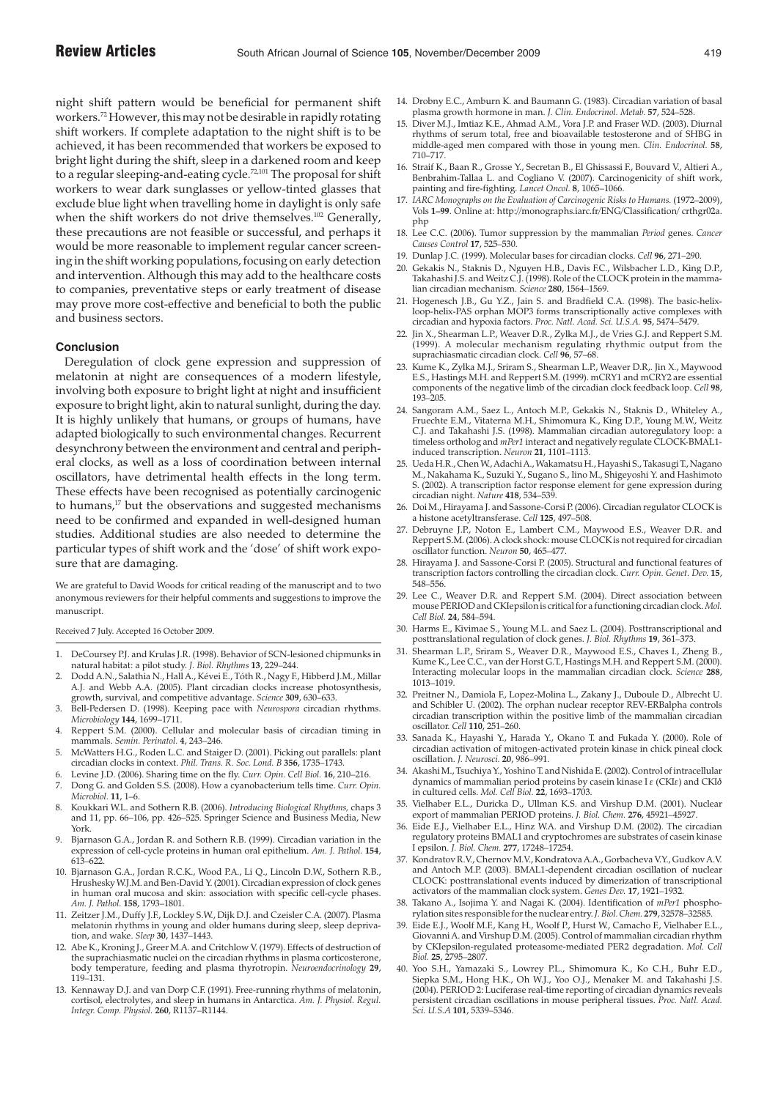night shift pattern would be beneficial for permanent shift workers.72 However, this may not be desirable in rapidly rotating shift workers. If complete adaptation to the night shift is to be achieved, it has been recommended that workers be exposed to bright light during the shift, sleep in a darkened room and keep to a regular sleeping-and-eating cycle.<sup>72,101</sup> The proposal for shift workers to wear dark sunglasses or yellow-tinted glasses that exclude blue light when travelling home in daylight is only safe when the shift workers do not drive themselves.<sup>102</sup> Generally, these precautions are not feasible or successful, and perhaps it would be more reasonable to implement regular cancer screening in the shift working populations, focusing on early detection and intervention. Although this may add to the healthcare costs to companies, preventative steps or early treatment of disease may prove more cost-effective and beneficial to both the public and business sectors.

### **Conclusion**

Deregulation of clock gene expression and suppression of melatonin at night are consequences of a modern lifestyle, involving both exposure to bright light at night and insufficient exposure to bright light, akin to natural sunlight, during the day. It is highly unlikely that humans, or groups of humans, have adapted biologically to such environmental changes. Recurrent desynchrony between the environment and central and peripheral clocks, as well as a loss of coordination between internal oscillators, have detrimental health effects in the long term. These effects have been recognised as potentially carcinogenic to humans,<sup>17</sup> but the observations and suggested mechanisms need to be confirmed and expanded in well-designed human studies. Additional studies are also needed to determine the particular types of shift work and the 'dose' of shift work exposure that are damaging.

We are grateful to David Woods for critical reading of the manuscript and to two anonymous reviewers for their helpful comments and suggestions to improve the manuscript.

Received 7 July. Accepted 16 October 2009.

- 1. DeCoursey P.J. and Krulas J.R. (1998). Behavior of SCN-lesioned chipmunks in natural habitat: a pilot study. *J. Biol. Rhythms* **13**, 229–244.
- 2. Dodd A.N., Salathia N., Hall A., Kévei E., Tóth R., Nagy F., Hibberd J.M., Millar A.J. and Webb A.A. (2005). Plant circadian clocks increase photosynthesis, growth, survival, and competitive advantage. *Science* **309**, 630–633.
- 3. Bell-Pedersen D. (1998). Keeping pace with *Neurospora* circadian rhythms. *Microbiology* **144**, 1699–1711.
- 4. Reppert S.M. (2000). Cellular and molecular basis of circadian timing in mammals. *Semin. Perinatol.* **4**, 243–246.
- 5. McWatters H.G., Roden L.C. and Staiger D. (2001). Picking out parallels: plant circadian clocks in context. *Phil. Trans. R. Soc. Lond. B* **356**, 1735–1743.
- 6. Levine J.D. (2006). Sharing time on the fly. *Curr. Opin. Cell Biol.* **16**, 210–216. 7. Dong G. and Golden S.S. (2008). How a cyanobacterium tells time. *Curr. Opin. Microbiol.* **11**, 1–6.
- 8. Koukkari W.L. and Sothern R.B. (2006). *Introducing Biological Rhythms,* chaps 3 and 11, pp. 66–106, pp. 426–525. Springer Science and Business Media, New York.
- 9. Bjarnason G.A., Jordan R. and Sothern R.B. (1999). Circadian variation in the expression of cell-cycle proteins in human oral epithelium. *Am. J. Pathol.* **154**, 613–622.
- 10. Bjarnason G.A., Jordan R.C.K., Wood P.A., Li Q., Lincoln D.W., Sothern R.B., Hrushesky W.J.M. and Ben-David Y. (2001). Circadian expression of clock genes in human oral mucosa and skin: association with specific cell-cycle phases. *Am. J. Pathol.* **158**, 1793–1801.
- 11. Zeitzer J.M., Duffy J.F., Lockley S.W., Dijk D.J. and Czeisler C.A. (2007). Plasma melatonin rhythms in young and older humans during sleep, sleep depriva-tion, and wake. *Sleep* **30**, 1437–1443.
- 12. Abe K., Kroning J., Greer M.A. and Critchlow V. (1979). Effects of destruction of the suprachiasmatic nuclei on the circadian rhythms in plasma corticosterone, body temperature, feeding and plasma thyrotropin. *Neuroendocrinology* **29**, 119–131.
- 13. Kennaway D.J. and van Dorp C.F. (1991). Free-running rhythms of melatonin, cortisol, electrolytes, and sleep in humans in Antarctica. *Am. J. Physiol. Regul. Integr. Comp. Physiol.* **260**, R1137–R1144.
- 14. Drobny E.C., Amburn K. and Baumann G. (1983). Circadian variation of basal plasma growth hormone in man. *J. Clin. Endocrinol. Metab.* **57**, 524–528.
- 15. Diver M.J., Imtiaz K.E., Ahmad A.M., Vora J.P. and Fraser W.D. (2003). Diurnal rhythms of serum total, free and bioavailable testosterone and of SHBG in middle-aged men compared with those in young men. *Clin. Endocrinol.* **58**, 710–717.
- 16. Straif K., Baan R., Grosse Y., Secretan B., El Ghissassi F., Bouvard V., Altieri A., Benbrahim-Tallaa L. and Cogliano V. (2007). Carcinogenicity of shift work, painting and fire-fighting. *Lancet Oncol.* **8**, 1065–1066.
- 17. *IARC Monographs on the Evaluation of Carcinogenic Risks to Humans.* (1972–2009), Vols **1–99**. Online at: http://monographs.iarc.fr/ENG/Classification/ crthgr02a. php
- 18. Lee C.C. (2006). Tumor suppression by the mammalian *Period* genes. *Cancer Causes Control* **17**, 525–530.
- 19. Dunlap J.C. (1999). Molecular bases for circadian clocks. *Cell* **96**, 271–290.
- 20. Gekakis N., Staknis D., Nguyen H.B., Davis F.C., Wilsbacher L.D., King D.P., Takahashi J.S. and Weitz C.J. (1998). Role of the CLOCK protein in the mammalian circadian mechanism. *Science* **280**, 1564–1569.
- 21. Hogenesch J.B., Gu Y.Z., Jain S. and Bradfield C.A. (1998). The basic-helixloop-helix-PAS orphan MOP3 forms transcriptionally active complexes with circadian and hypoxia factors. *Proc. Natl. Acad. Sci. U.S.A.* **95**, 5474–5479.
- 22. Jin X., Shearman L.P., Weaver D.R., Zylka M.J., de Vries G.J. and Reppert S.M. (1999). A molecular mechanism regulating rhythmic output from the suprachiasmatic circadian clock. *Cell* **96**, 57–68.
- 23. Kume K., Zylka M.J., Sriram S., Shearman L.P., Weaver D.R,. Jin X., Maywood E.S., Hastings M.H. and Reppert S.M. (1999). mCRY1 and mCRY2 are essential components of the negative limb of the circadian clock feedback loop. *Cell* **98**, 193–205.
- 24. Sangoram A.M., Saez L., Antoch M.P., Gekakis N., Staknis D., Whiteley A., Fruechte E.M., Vitaterna M.H., Shimomura K., King D.P., Young M.W., Weitz C.J. and Takahashi J.S. (1998). Mammalian circadian autoregulatory loop: a timeless ortholog and *mPer1* interact and negatively regulate CLOCK-BMAL1 induced transcription. *Neuron* **21**, 1101–1113.
- 25. Ueda H.R., Chen W., Adachi A., Wakamatsu H., Hayashi S., Takasugi T., Nagano M., Nakahama K., Suzuki Y., Sugano S., Iino M., Shigeyoshi Y. and Hashimoto S. (2002). A transcription factor response element for gene expression during circadian night. *Nature* **418**, 534–539.
- 26. Doi M., Hirayama J. and Sassone-Corsi P. (2006). Circadian regulator CLOCK is a histone acetyltransferase. *Cell* **125**, 497–508.
- 27. Debruyne J.P., Noton E., Lambert C.M., Maywood E.S., Weaver D.R. and Reppert S.M. (2006). A clock shock: mouse CLOCK is not required for circadian oscillator function. *Neuron* **50**, 465–477.
- 28. Hirayama J. and Sassone-Corsi P. (2005). Structural and functional features of transcription factors controlling the circadian clock. *Curr. Opin. Genet. Dev.* **15**, 548–556.
- 29. Lee C., Weaver D.R. and Reppert S.M. (2004). Direct association between mouse PERIOD and CKIepsilon is critical for a functioning circadian clock.*Mol. Cell Biol.* **24**, 584–594.
- 30. Harms E., Kivimae S., Young M.L. and Saez L. (2004). Posttranscriptional and posttranslational regulation of clock genes. *J. Biol. Rhythms* **19**, 361–373.
- 31. Shearman L.P., Sriram S., Weaver D.R., Maywood E.S., Chaves I., Zheng B., Kume K., Lee C.C., van der Horst G.T., Hastings M.H. and Reppert S.M. (2000). Interacting molecular loops in the mammalian circadian clock. *Science* **288**, 1013–1019.
- 32. Preitner N., Damiola F., Lopez-Molina L., Zakany J., Duboule D., Albrecht U. and Schibler U. (2002). The orphan nuclear receptor REV-ERBalpha controls circadian transcription within the positive limb of the mammalian circadian oscillator. *Cell* **110**, 251–260.
- 33. Sanada K., Hayashi Y., Harada Y., Okano T. and Fukada Y. (2000). Role of circadian activation of mitogen-activated protein kinase in chick pineal clock oscillation. *J. Neurosci.* **20**, 986–991.
- 34. Akashi M., Tsuchiya Y., Yoshino T. and Nishida E. (2002). Control of intracellular dynamics of mammalian period proteins by casein kinase I ε (CKIε) and CKIδ in cultured cells. *Mol. Cell Biol.* **22**, 1693–1703.
- 35. Vielhaber E.L., Duricka D., Ullman K.S. and Virshup D.M. (2001). Nuclear export of mammalian PERIOD proteins. *J. Biol. Chem.* **276**, 45921–45927.
- 36. Eide E.J., Vielhaber E.L., Hinz W.A. and Virshup D.M. (2002). The circadian regulatory proteins BMAL1 and cryptochromes are substrates of casein kinase I epsilon. *J. Biol. Chem.* **277**, 17248–17254.
- 37. Kondratov R.V., Chernov M.V., Kondratova A.A., Gorbacheva V.Y., Gudkov A.V. and Antoch M.P. (2003). BMAL1-dependent circadian oscillation of nuclear CLOCK: posttranslational events induced by dimerization of transcriptional activators of the mammalian clock system. *Genes Dev.* **17**, 1921–1932.
- 38. Takano A., Isojima Y. and Nagai K. (2004). Identification of *mPer1* phosphorylation sites responsible for the nuclear entry.*J. Biol. Chem.* **279**, 32578–32585.
- 39. Eide E.J., Woolf M.F., Kang H., Woolf P., Hurst W., Camacho F., Vielhaber E.L., Giovanni A. and Virshup D.M. (2005). Control of mammalian circadian rhythm by CKIepsilon-regulated proteasome-mediated PER2 degradation. *Mol. Cell Biol.* **25**, 2795–2807.
- 40. Yoo S.H., Yamazaki S., Lowrey P.L., Shimomura K., Ko C.H., Buhr E.D., Siepka S.M., Hong H.K., Oh W.J., Yoo O.J., Menaker M. and Takahashi J.S. (2004). PERIOD 2: Luciferase real-time reporting of circadian dynamics reveals persistent circadian oscillations in mouse peripheral tissues. *Proc. Natl. Acad. Sci. U.S.A* **101**, 5339–5346.